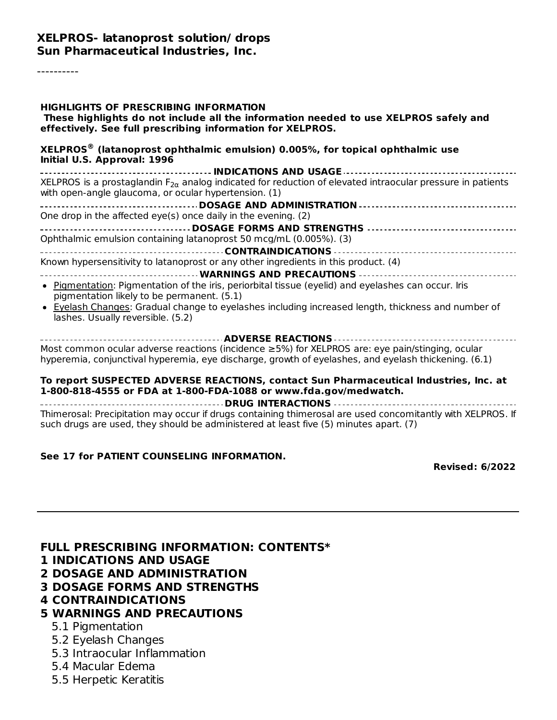#### **XELPROS- latanoprost solution/ drops Sun Pharmaceutical Industries, Inc.**

----------

| HIGHLIGHTS OF PRESCRIBING INFORMATION<br>These highlights do not include all the information needed to use XELPROS safely and<br>effectively. See full prescribing information for XELPROS.             |
|---------------------------------------------------------------------------------------------------------------------------------------------------------------------------------------------------------|
| $XELPROS®$ (latanoprost ophthalmic emulsion) 0.005%, for topical ophthalmic use<br>Initial U.S. Approval: 1996                                                                                          |
| XELPROS is a prostaglandin $F_{2\alpha}$ analog indicated for reduction of elevated intraocular pressure in patients<br>with open-angle glaucoma, or ocular hypertension. (1)                           |
|                                                                                                                                                                                                         |
| One drop in the affected eye(s) once daily in the evening. (2)                                                                                                                                          |
| Ophthalmic emulsion containing latanoprost 50 mcg/mL (0.005%). (3)                                                                                                                                      |
|                                                                                                                                                                                                         |
| Known hypersensitivity to latanoprost or any other ingredients in this product. (4)                                                                                                                     |
|                                                                                                                                                                                                         |
| • Pigmentation: Pigmentation of the iris, periorbital tissue (eyelid) and eyelashes can occur. Iris<br>pigmentation likely to be permanent. (5.1)                                                       |
| • Eyelash Changes: Gradual change to eyelashes including increased length, thickness and number of<br>lashes. Usually reversible. (5.2)                                                                 |
|                                                                                                                                                                                                         |
| Most common ocular adverse reactions (incidence ≥5%) for XELPROS are: eye pain/stinging, ocular<br>hyperemia, conjunctival hyperemia, eye discharge, growth of eyelashes, and eyelash thickening. (6.1) |
| To report SUSPECTED ADVERSE REACTIONS, contact Sun Pharmaceutical Industries, Inc. at<br>1-800-818-4555 or FDA at 1-800-FDA-1088 or www.fda.gov/medwatch.<br><b>COLORATION ACTIONS</b>                  |

**DRUG INTERACTIONS** Thimerosal: Precipitation may occur if drugs containing thimerosal are used concomitantly with XELPROS. If such drugs are used, they should be administered at least five (5) minutes apart. (7)

#### **See 17 for PATIENT COUNSELING INFORMATION.**

**Revised: 6/2022**

**FULL PRESCRIBING INFORMATION: CONTENTS\***

- **1 INDICATIONS AND USAGE**
- **2 DOSAGE AND ADMINISTRATION**

**3 DOSAGE FORMS AND STRENGTHS**

**4 CONTRAINDICATIONS**

#### **5 WARNINGS AND PRECAUTIONS**

- 5.1 Pigmentation
- 5.2 Eyelash Changes
- 5.3 Intraocular Inflammation
- 5.4 Macular Edema
- 5.5 Herpetic Keratitis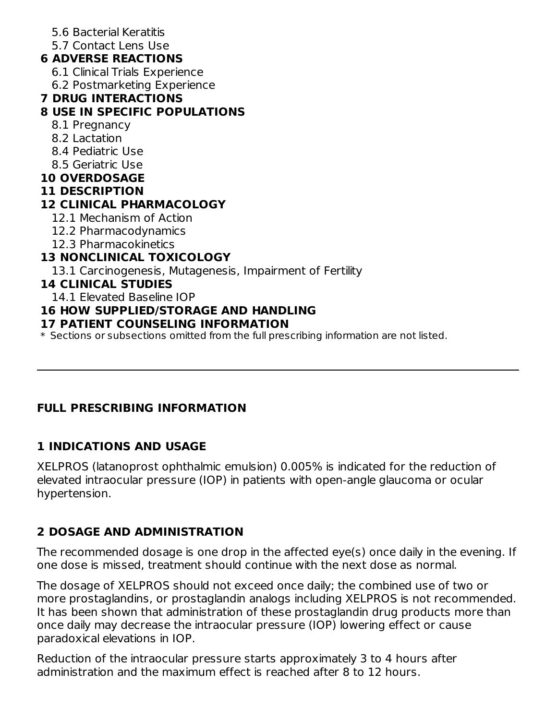- 5.6 Bacterial Keratitis
- 5.7 Contact Lens Use

# **6 ADVERSE REACTIONS**

- 6.1 Clinical Trials Experience
- 6.2 Postmarketing Experience

### **7 DRUG INTERACTIONS**

### **8 USE IN SPECIFIC POPULATIONS**

- 8.1 Pregnancy
- 8.2 Lactation
- 8.4 Pediatric Use
- 8.5 Geriatric Use
- **10 OVERDOSAGE**
- **11 DESCRIPTION**

### **12 CLINICAL PHARMACOLOGY**

- 12.1 Mechanism of Action
- 12.2 Pharmacodynamics
- 12.3 Pharmacokinetics

# **13 NONCLINICAL TOXICOLOGY**

13.1 Carcinogenesis, Mutagenesis, Impairment of Fertility

### **14 CLINICAL STUDIES**

14.1 Elevated Baseline IOP

### **16 HOW SUPPLIED/STORAGE AND HANDLING**

#### **17 PATIENT COUNSELING INFORMATION**

 $\ast$  Sections or subsections omitted from the full prescribing information are not listed.

# **FULL PRESCRIBING INFORMATION**

# **1 INDICATIONS AND USAGE**

XELPROS (latanoprost ophthalmic emulsion) 0.005% is indicated for the reduction of elevated intraocular pressure (IOP) in patients with open-angle glaucoma or ocular hypertension.

# **2 DOSAGE AND ADMINISTRATION**

The recommended dosage is one drop in the affected eye(s) once daily in the evening. If one dose is missed, treatment should continue with the next dose as normal.

The dosage of XELPROS should not exceed once daily; the combined use of two or more prostaglandins, or prostaglandin analogs including XELPROS is not recommended. It has been shown that administration of these prostaglandin drug products more than once daily may decrease the intraocular pressure (IOP) lowering effect or cause paradoxical elevations in IOP.

Reduction of the intraocular pressure starts approximately 3 to 4 hours after administration and the maximum effect is reached after 8 to 12 hours.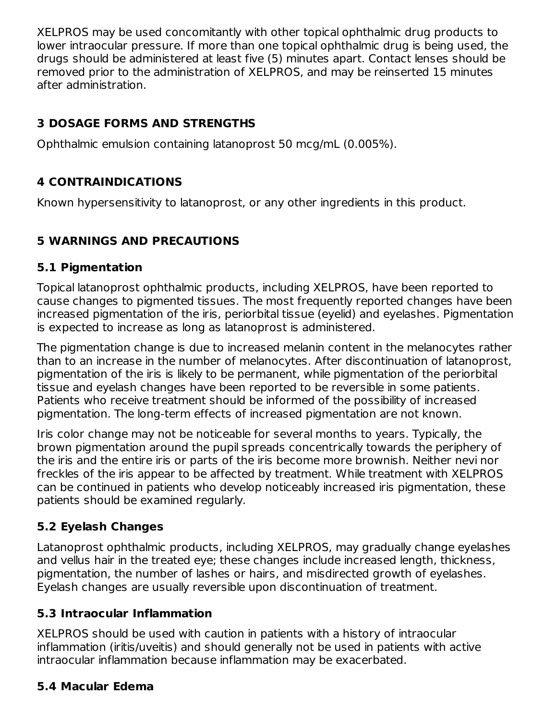XELPROS may be used concomitantly with other topical ophthalmic drug products to lower intraocular pressure. If more than one topical ophthalmic drug is being used, the drugs should be administered at least five (5) minutes apart. Contact lenses should be removed prior to the administration of XELPROS, and may be reinserted 15 minutes after administration.

# **3 DOSAGE FORMS AND STRENGTHS**

Ophthalmic emulsion containing latanoprost 50 mcg/mL (0.005%).

# **4 CONTRAINDICATIONS**

Known hypersensitivity to latanoprost, or any other ingredients in this product.

# **5 WARNINGS AND PRECAUTIONS**

### **5.1 Pigmentation**

Topical latanoprost ophthalmic products, including XELPROS, have been reported to cause changes to pigmented tissues. The most frequently reported changes have been increased pigmentation of the iris, periorbital tissue (eyelid) and eyelashes. Pigmentation is expected to increase as long as latanoprost is administered.

The pigmentation change is due to increased melanin content in the melanocytes rather than to an increase in the number of melanocytes. After discontinuation of latanoprost, pigmentation of the iris is likely to be permanent, while pigmentation of the periorbital tissue and eyelash changes have been reported to be reversible in some patients. Patients who receive treatment should be informed of the possibility of increased pigmentation. The long-term effects of increased pigmentation are not known.

Iris color change may not be noticeable for several months to years. Typically, the brown pigmentation around the pupil spreads concentrically towards the periphery of the iris and the entire iris or parts of the iris become more brownish. Neither nevi nor freckles of the iris appear to be affected by treatment. While treatment with XELPROS can be continued in patients who develop noticeably increased iris pigmentation, these patients should be examined regularly.

# **5.2 Eyelash Changes**

Latanoprost ophthalmic products, including XELPROS, may gradually change eyelashes and vellus hair in the treated eye; these changes include increased length, thickness, pigmentation, the number of lashes or hairs, and misdirected growth of eyelashes. Eyelash changes are usually reversible upon discontinuation of treatment.

# **5.3 Intraocular Inflammation**

XELPROS should be used with caution in patients with a history of intraocular inflammation (iritis/uveitis) and should generally not be used in patients with active intraocular inflammation because inflammation may be exacerbated.

# **5.4 Macular Edema**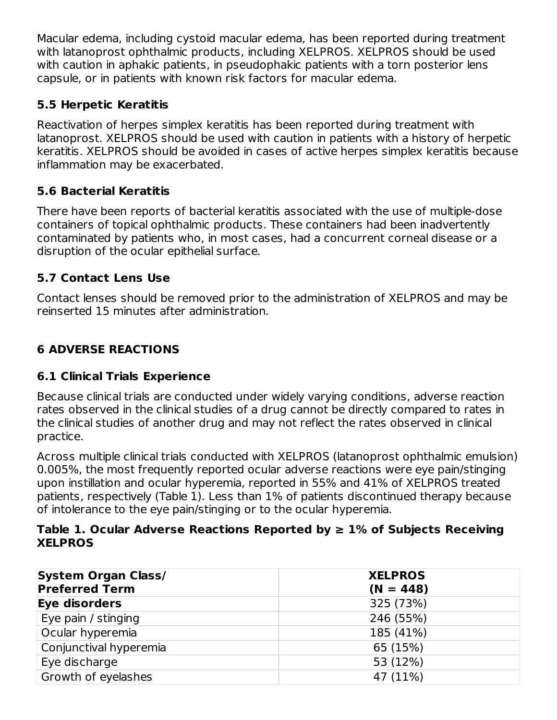Macular edema, including cystoid macular edema, has been reported during treatment with latanoprost ophthalmic products, including XELPROS. XELPROS should be used with caution in aphakic patients, in pseudophakic patients with a torn posterior lens capsule, or in patients with known risk factors for macular edema.

### **5.5 Herpetic Keratitis**

Reactivation of herpes simplex keratitis has been reported during treatment with latanoprost. XELPROS should be used with caution in patients with a history of herpetic keratitis. XELPROS should be avoided in cases of active herpes simplex keratitis because inflammation may be exacerbated.

# **5.6 Bacterial Keratitis**

There have been reports of bacterial keratitis associated with the use of multiple-dose containers of topical ophthalmic products. These containers had been inadvertently contaminated by patients who, in most cases, had a concurrent corneal disease or a disruption of the ocular epithelial surface.

# **5.7 Contact Lens Use**

Contact lenses should be removed prior to the administration of XELPROS and may be reinserted 15 minutes after administration.

# **6 ADVERSE REACTIONS**

# **6.1 Clinical Trials Experience**

Because clinical trials are conducted under widely varying conditions, adverse reaction rates observed in the clinical studies of a drug cannot be directly compared to rates in the clinical studies of another drug and may not reflect the rates observed in clinical practice.

Across multiple clinical trials conducted with XELPROS (latanoprost ophthalmic emulsion) 0.005%, the most frequently reported ocular adverse reactions were eye pain/stinging upon instillation and ocular hyperemia, reported in 55% and 41% of XELPROS treated patients, respectively (Table 1). Less than 1% of patients discontinued therapy because of intolerance to the eye pain/stinging or to the ocular hyperemia.

#### **Table 1. Ocular Adverse Reactions Reported by ≥ 1% of Subjects Receiving XELPROS**

| <b>System Organ Class/</b><br><b>Preferred Term</b> | <b>XELPROS</b><br>$(N = 448)$ |
|-----------------------------------------------------|-------------------------------|
| Eye disorders                                       | 325 (73%)                     |
| Eye pain / stinging                                 | 246 (55%)                     |
| Ocular hyperemia                                    | 185 (41%)                     |
| Conjunctival hyperemia                              | 65 (15%)                      |
| Eye discharge                                       | 53 (12%)                      |
| Growth of eyelashes                                 | 47 (11%)                      |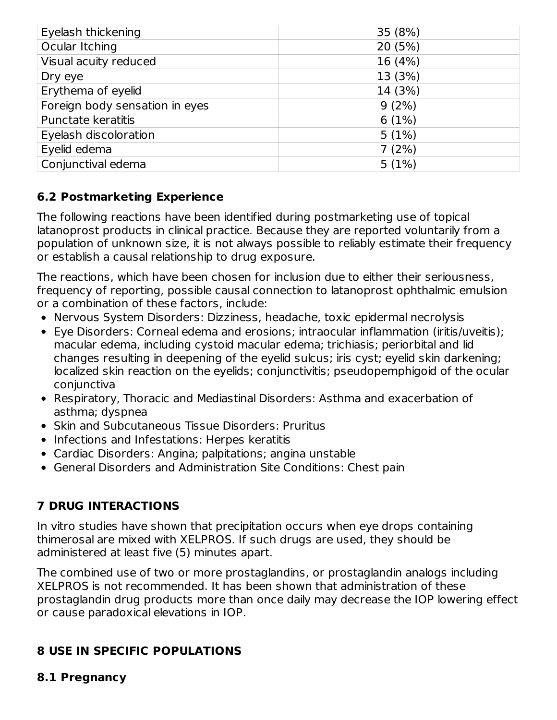| Eyelash thickening             | 35 (8%) |
|--------------------------------|---------|
| Ocular Itching                 | 20(5%)  |
| Visual acuity reduced          | 16 (4%) |
| Dry eye                        | 13 (3%) |
| Erythema of eyelid             | 14 (3%) |
| Foreign body sensation in eyes | 9(2%)   |
| <b>Punctate keratitis</b>      | 6(1%)   |
| Eyelash discoloration          | 5(1%)   |
| Eyelid edema                   | 7(2%)   |
| Conjunctival edema             | 5(1%)   |

### **6.2 Postmarketing Experience**

The following reactions have been identified during postmarketing use of topical latanoprost products in clinical practice. Because they are reported voluntarily from a population of unknown size, it is not always possible to reliably estimate their frequency or establish a causal relationship to drug exposure.

The reactions, which have been chosen for inclusion due to either their seriousness, frequency of reporting, possible causal connection to latanoprost ophthalmic emulsion or a combination of these factors, include:

- Nervous System Disorders: Dizziness, headache, toxic epidermal necrolysis
- Eye Disorders: Corneal edema and erosions; intraocular inflammation (iritis/uveitis); macular edema, including cystoid macular edema; trichiasis; periorbital and lid changes resulting in deepening of the eyelid sulcus; iris cyst; eyelid skin darkening; localized skin reaction on the eyelids; conjunctivitis; pseudopemphigoid of the ocular conjunctiva
- Respiratory, Thoracic and Mediastinal Disorders: Asthma and exacerbation of asthma; dyspnea
- Skin and Subcutaneous Tissue Disorders: Pruritus
- Infections and Infestations: Herpes keratitis
- Cardiac Disorders: Angina; palpitations; angina unstable
- General Disorders and Administration Site Conditions: Chest pain

# **7 DRUG INTERACTIONS**

In vitro studies have shown that precipitation occurs when eye drops containing thimerosal are mixed with XELPROS. If such drugs are used, they should be administered at least five (5) minutes apart.

The combined use of two or more prostaglandins, or prostaglandin analogs including XELPROS is not recommended. It has been shown that administration of these prostaglandin drug products more than once daily may decrease the IOP lowering effect or cause paradoxical elevations in IOP.

### **8 USE IN SPECIFIC POPULATIONS**

#### **8.1 Pregnancy**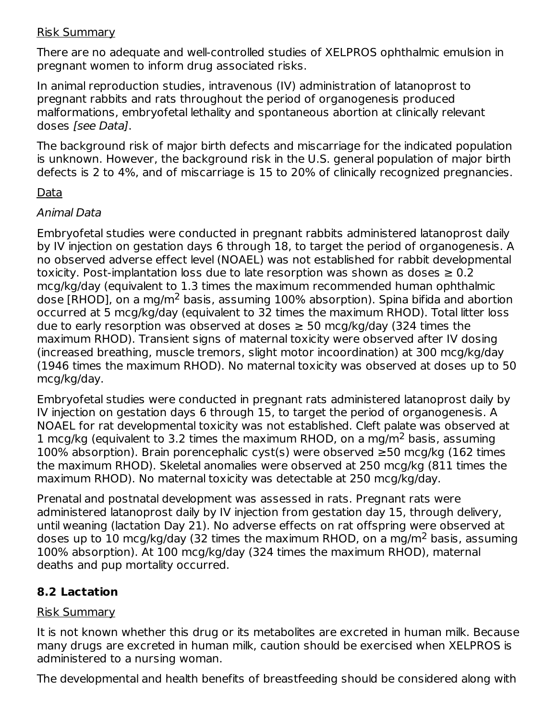#### Risk Summary

There are no adequate and well-controlled studies of XELPROS ophthalmic emulsion in pregnant women to inform drug associated risks.

In animal reproduction studies, intravenous (IV) administration of latanoprost to pregnant rabbits and rats throughout the period of organogenesis produced malformations, embryofetal lethality and spontaneous abortion at clinically relevant doses [see Data].

The background risk of major birth defects and miscarriage for the indicated population is unknown. However, the background risk in the U.S. general population of major birth defects is 2 to 4%, and of miscarriage is 15 to 20% of clinically recognized pregnancies.

#### Data

#### Animal Data

Embryofetal studies were conducted in pregnant rabbits administered latanoprost daily by IV injection on gestation days 6 through 18, to target the period of organogenesis. A no observed adverse effect level (NOAEL) was not established for rabbit developmental toxicity. Post-implantation loss due to late resorption was shown as doses  $\geq 0.2$ mcg/kg/day (equivalent to 1.3 times the maximum recommended human ophthalmic dose [RHOD], on a mg/m<sup>2</sup> basis, assuming 100% absorption). Spina bifida and abortion occurred at 5 mcg/kg/day (equivalent to 32 times the maximum RHOD). Total litter loss due to early resorption was observed at doses  $\geq$  50 mcg/kg/day (324 times the maximum RHOD). Transient signs of maternal toxicity were observed after IV dosing (increased breathing, muscle tremors, slight motor incoordination) at 300 mcg/kg/day (1946 times the maximum RHOD). No maternal toxicity was observed at doses up to 50 mcg/kg/day.

Embryofetal studies were conducted in pregnant rats administered latanoprost daily by IV injection on gestation days 6 through 15, to target the period of organogenesis. A NOAEL for rat developmental toxicity was not established. Cleft palate was observed at 1 mcg/kg (equivalent to 3.2 times the maximum RHOD, on a mg/m<sup>2</sup> basis, assuming 100% absorption). Brain porencephalic cyst(s) were observed ≥50 mcg/kg (162 times the maximum RHOD). Skeletal anomalies were observed at 250 mcg/kg (811 times the maximum RHOD). No maternal toxicity was detectable at 250 mcg/kg/day.

Prenatal and postnatal development was assessed in rats. Pregnant rats were administered latanoprost daily by IV injection from gestation day 15, through delivery, until weaning (lactation Day 21). No adverse effects on rat offspring were observed at doses up to 10 mcg/kg/day (32 times the maximum RHOD, on a mg/m<sup>2</sup> basis, assuming 100% absorption). At 100 mcg/kg/day (324 times the maximum RHOD), maternal deaths and pup mortality occurred.

### **8.2 Lactation**

#### Risk Summary

It is not known whether this drug or its metabolites are excreted in human milk. Because many drugs are excreted in human milk, caution should be exercised when XELPROS is administered to a nursing woman.

The developmental and health benefits of breastfeeding should be considered along with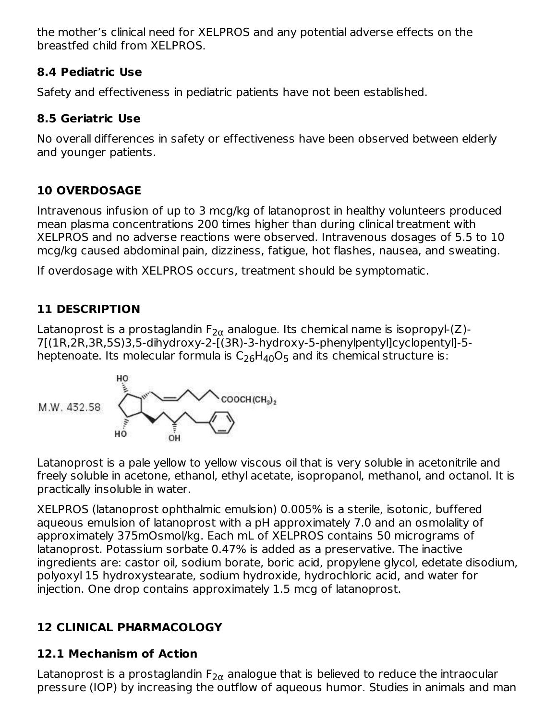the mother's clinical need for XELPROS and any potential adverse effects on the breastfed child from XELPROS.

### **8.4 Pediatric Use**

Safety and effectiveness in pediatric patients have not been established.

# **8.5 Geriatric Use**

No overall differences in safety or effectiveness have been observed between elderly and younger patients.

# **10 OVERDOSAGE**

Intravenous infusion of up to 3 mcg/kg of latanoprost in healthy volunteers produced mean plasma concentrations 200 times higher than during clinical treatment with XELPROS and no adverse reactions were observed. Intravenous dosages of 5.5 to 10 mcg/kg caused abdominal pain, dizziness, fatigue, hot flashes, nausea, and sweating.

If overdosage with XELPROS occurs, treatment should be symptomatic.

# **11 DESCRIPTION**

Latanoprost is a prostaglandin F $_{2\alpha}$  analogue. Its chemical name is isopropyl-(Z)-7[(1R,2R,3R,5S)3,5-dihydroxy-2-[(3R)-3-hydroxy-5-phenylpentyl]cyclopentyl]-5 heptenoate. Its molecular formula is  $\rm C_{26}H_{40}O_5$  and its chemical structure is:



Latanoprost is a pale yellow to yellow viscous oil that is very soluble in acetonitrile and freely soluble in acetone, ethanol, ethyl acetate, isopropanol, methanol, and octanol. It is practically insoluble in water.

XELPROS (latanoprost ophthalmic emulsion) 0.005% is a sterile, isotonic, buffered aqueous emulsion of latanoprost with a pH approximately 7.0 and an osmolality of approximately 375mOsmol/kg. Each mL of XELPROS contains 50 micrograms of latanoprost. Potassium sorbate 0.47% is added as a preservative. The inactive ingredients are: castor oil, sodium borate, boric acid, propylene glycol, edetate disodium, polyoxyl 15 hydroxystearate, sodium hydroxide, hydrochloric acid, and water for injection. One drop contains approximately 1.5 mcg of latanoprost.

# **12 CLINICAL PHARMACOLOGY**

# **12.1 Mechanism of Action**

Latanoprost is a prostaglandin F $_{2\alpha}$  analogue that is believed to reduce the intraocular pressure (IOP) by increasing the outflow of aqueous humor. Studies in animals and man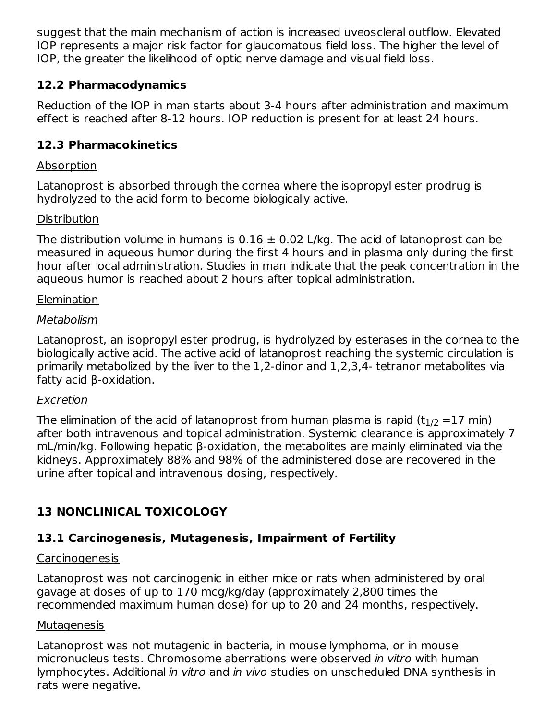suggest that the main mechanism of action is increased uveoscleral outflow. Elevated IOP represents a major risk factor for glaucomatous field loss. The higher the level of IOP, the greater the likelihood of optic nerve damage and visual field loss.

### **12.2 Pharmacodynamics**

Reduction of the IOP in man starts about 3-4 hours after administration and maximum effect is reached after 8-12 hours. IOP reduction is present for at least 24 hours.

### **12.3 Pharmacokinetics**

### **Absorption**

Latanoprost is absorbed through the cornea where the isopropyl ester prodrug is hydrolyzed to the acid form to become biologically active.

### **Distribution**

The distribution volume in humans is  $0.16 \pm 0.02$  L/kg. The acid of latanoprost can be measured in aqueous humor during the first 4 hours and in plasma only during the first hour after local administration. Studies in man indicate that the peak concentration in the aqueous humor is reached about 2 hours after topical administration.

### Elemination

### Metabolism

Latanoprost, an isopropyl ester prodrug, is hydrolyzed by esterases in the cornea to the biologically active acid. The active acid of latanoprost reaching the systemic circulation is primarily metabolized by the liver to the 1,2-dinor and 1,2,3,4- tetranor metabolites via fatty acid β-oxidation.

### Excretion

The elimination of the acid of latanoprost from human plasma is rapid (t $_{\rm 1/2}$  =17 min) after both intravenous and topical administration. Systemic clearance is approximately 7 mL/min/kg. Following hepatic β-oxidation, the metabolites are mainly eliminated via the kidneys. Approximately 88% and 98% of the administered dose are recovered in the urine after topical and intravenous dosing, respectively.

# **13 NONCLINICAL TOXICOLOGY**

# **13.1 Carcinogenesis, Mutagenesis, Impairment of Fertility**

### Carcinogenesis

Latanoprost was not carcinogenic in either mice or rats when administered by oral gavage at doses of up to 170 mcg/kg/day (approximately 2,800 times the recommended maximum human dose) for up to 20 and 24 months, respectively.

### **Mutagenesis**

Latanoprost was not mutagenic in bacteria, in mouse lymphoma, or in mouse micronucleus tests. Chromosome aberrations were observed in vitro with human lymphocytes. Additional in vitro and in vivo studies on unscheduled DNA synthesis in rats were negative.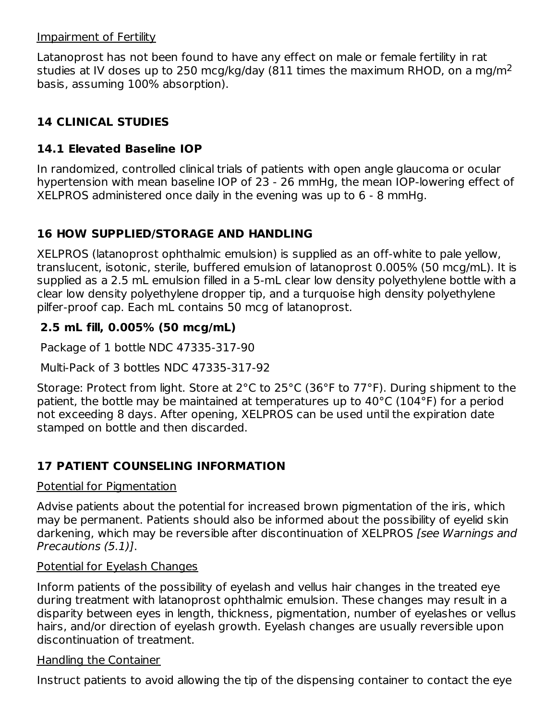#### Impairment of Fertility

Latanoprost has not been found to have any effect on male or female fertility in rat studies at IV doses up to 250 mcg/kg/day (811 times the maximum RHOD, on a mg/m<sup>2</sup> basis, assuming 100% absorption).

# **14 CLINICAL STUDIES**

### **14.1 Elevated Baseline IOP**

In randomized, controlled clinical trials of patients with open angle glaucoma or ocular hypertension with mean baseline IOP of 23 - 26 mmHg, the mean IOP-lowering effect of XELPROS administered once daily in the evening was up to 6 - 8 mmHg.

### **16 HOW SUPPLIED/STORAGE AND HANDLING**

XELPROS (latanoprost ophthalmic emulsion) is supplied as an off-white to pale yellow, translucent, isotonic, sterile, buffered emulsion of latanoprost 0.005% (50 mcg/mL). It is supplied as a 2.5 mL emulsion filled in a 5-mL clear low density polyethylene bottle with a clear low density polyethylene dropper tip, and a turquoise high density polyethylene pilfer-proof cap. Each mL contains 50 mcg of latanoprost.

### **2.5 mL fill, 0.005% (50 mcg/mL)**

Package of 1 bottle NDC 47335-317-90

Multi-Pack of 3 bottles NDC 47335-317-92

Storage: Protect from light. Store at 2°C to 25°C (36°F to 77°F). During shipment to the patient, the bottle may be maintained at temperatures up to 40°C (104°F) for a period not exceeding 8 days. After opening, XELPROS can be used until the expiration date stamped on bottle and then discarded.

# **17 PATIENT COUNSELING INFORMATION**

#### Potential for Pigmentation

Advise patients about the potential for increased brown pigmentation of the iris, which may be permanent. Patients should also be informed about the possibility of eyelid skin darkening, which may be reversible after discontinuation of XELPROS [see Warnings and Precautions (5.1)].

### Potential for Eyelash Changes

Inform patients of the possibility of eyelash and vellus hair changes in the treated eye during treatment with latanoprost ophthalmic emulsion. These changes may result in a disparity between eyes in length, thickness, pigmentation, number of eyelashes or vellus hairs, and/or direction of eyelash growth. Eyelash changes are usually reversible upon discontinuation of treatment.

#### Handling the Container

Instruct patients to avoid allowing the tip of the dispensing container to contact the eye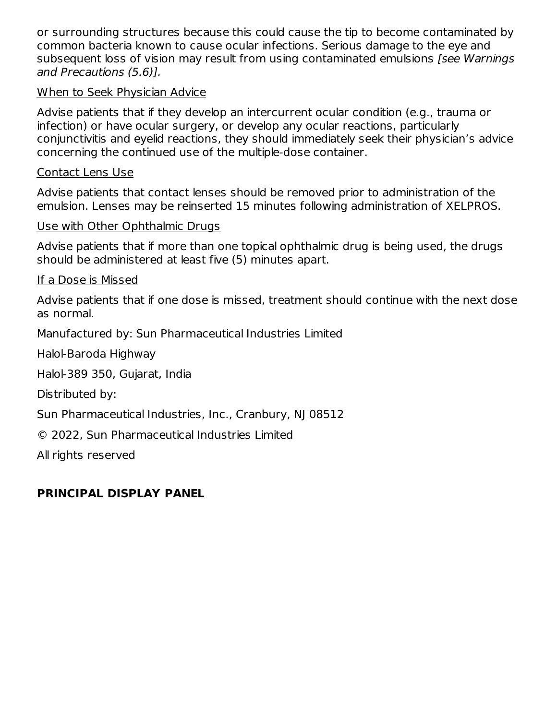or surrounding structures because this could cause the tip to become contaminated by common bacteria known to cause ocular infections. Serious damage to the eye and subsequent loss of vision may result from using contaminated emulsions [see Warnings] and Precautions (5.6)].

#### When to Seek Physician Advice

Advise patients that if they develop an intercurrent ocular condition (e.g., trauma or infection) or have ocular surgery, or develop any ocular reactions, particularly conjunctivitis and eyelid reactions, they should immediately seek their physician's advice concerning the continued use of the multiple-dose container.

#### Contact Lens Use

Advise patients that contact lenses should be removed prior to administration of the emulsion. Lenses may be reinserted 15 minutes following administration of XELPROS.

#### Use with Other Ophthalmic Drugs

Advise patients that if more than one topical ophthalmic drug is being used, the drugs should be administered at least five (5) minutes apart.

#### If a Dose is Missed

Advise patients that if one dose is missed, treatment should continue with the next dose as normal.

Manufactured by: Sun Pharmaceutical Industries Limited

Halol-Baroda Highway

Halol-389 350, Gujarat, India

Distributed by:

Sun Pharmaceutical Industries, Inc., Cranbury, NJ 08512

© 2022, Sun Pharmaceutical Industries Limited

All rights reserved

### **PRINCIPAL DISPLAY PANEL**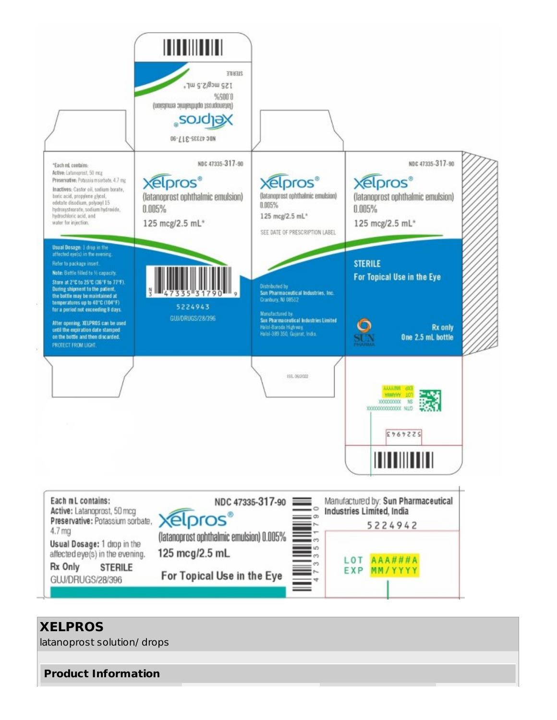

#### **XELPROS**

latanoprost solution/ drops

**Product Information**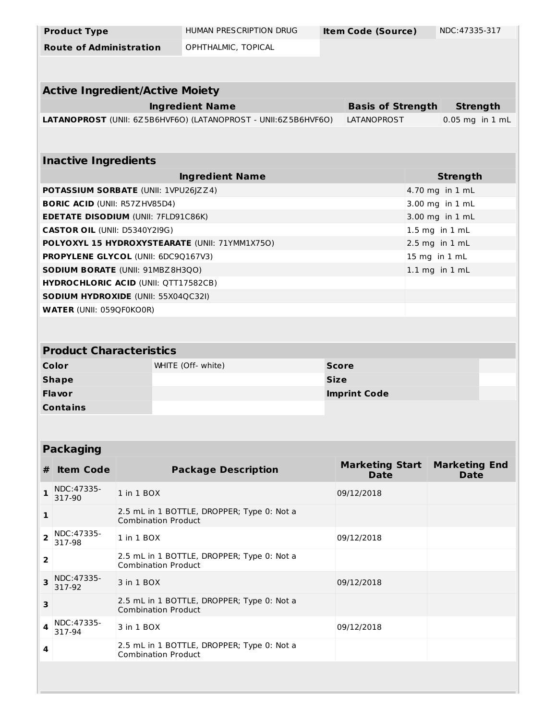| <b>Product Type</b>                     |                                             | HUMAN PRESCRIPTION DRUG                                        |              | <b>Item Code (Source)</b>             |  | NDC: 47335-317                      |
|-----------------------------------------|---------------------------------------------|----------------------------------------------------------------|--------------|---------------------------------------|--|-------------------------------------|
| <b>Route of Administration</b>          |                                             | OPHTHALMIC, TOPICAL                                            |              |                                       |  |                                     |
|                                         |                                             |                                                                |              |                                       |  |                                     |
|                                         | <b>Active Ingredient/Active Moiety</b>      |                                                                |              |                                       |  |                                     |
|                                         |                                             | <b>Ingredient Name</b>                                         |              | <b>Basis of Strength</b>              |  | <b>Strength</b>                     |
|                                         |                                             | LATANOPROST (UNII: 6Z5B6HVF6O) (LATANOPROST - UNII:6Z5B6HVF6O) |              | LATANOPROST                           |  | $0.05$ mg in $1$ mL                 |
|                                         |                                             |                                                                |              |                                       |  |                                     |
| <b>Inactive Ingredients</b>             |                                             |                                                                |              |                                       |  |                                     |
|                                         |                                             | <b>Ingredient Name</b>                                         |              |                                       |  | <b>Strength</b>                     |
|                                         | POTASSIUM SORBATE (UNII: 1VPU26JZZ4)        |                                                                |              |                                       |  | 4.70 mg in 1 mL                     |
| <b>BORIC ACID (UNII: R57ZHV85D4)</b>    |                                             |                                                                |              |                                       |  | 3.00 mg in 1 mL                     |
|                                         | <b>EDETATE DISODIUM (UNII: 7FLD91C86K)</b>  |                                                                |              |                                       |  | 3.00 mg in 1 mL                     |
| <b>CASTOR OIL (UNII: D5340Y2I9G)</b>    |                                             |                                                                |              |                                       |  | 1.5 mg in 1 mL                      |
|                                         |                                             | POLYOXYL 15 HYDROXYSTEARATE (UNII: 71YMM1X750)                 |              |                                       |  | $2.5$ mg in $1$ mL                  |
|                                         | PROPYLENE GLYCOL (UNII: 6DC9Q167V3)         |                                                                |              |                                       |  | 15 mg in 1 mL                       |
|                                         | SODIUM BORATE (UNII: 91MBZ8H3QO)            |                                                                |              |                                       |  | $1.1$ mg in $1$ mL                  |
|                                         | <b>HYDROCHLORIC ACID (UNII: QTT17582CB)</b> |                                                                |              |                                       |  |                                     |
|                                         | <b>SODIUM HYDROXIDE (UNII: 55X04QC32I)</b>  |                                                                |              |                                       |  |                                     |
| <b>WATER (UNII: 059QF0KO0R)</b>         |                                             |                                                                |              |                                       |  |                                     |
|                                         |                                             |                                                                |              |                                       |  |                                     |
| <b>Product Characteristics</b>          |                                             |                                                                |              |                                       |  |                                     |
| Color                                   |                                             | WHITE (Off- white)                                             | <b>Score</b> |                                       |  |                                     |
|                                         |                                             |                                                                | <b>Size</b>  |                                       |  |                                     |
| <b>Shape</b>                            |                                             |                                                                |              |                                       |  |                                     |
| <b>Flavor</b>                           |                                             |                                                                |              | <b>Imprint Code</b>                   |  |                                     |
| <b>Contains</b>                         |                                             |                                                                |              |                                       |  |                                     |
|                                         |                                             |                                                                |              |                                       |  |                                     |
|                                         |                                             |                                                                |              |                                       |  |                                     |
| <b>Packaging</b>                        |                                             |                                                                |              |                                       |  |                                     |
| <b>Item Code</b><br>#                   |                                             | <b>Package Description</b>                                     |              | <b>Marketing Start</b><br><b>Date</b> |  | <b>Marketing End</b><br><b>Date</b> |
| NDC:47335-<br>$\mathbf{1}$<br>317-90    | 1 in 1 BOX                                  |                                                                |              | 09/12/2018                            |  |                                     |
| $\mathbf{1}$                            | <b>Combination Product</b>                  | 2.5 mL in 1 BOTTLE, DROPPER; Type 0: Not a                     |              |                                       |  |                                     |
| NDC: 47335-<br>$\overline{2}$<br>317-98 | 1 in 1 BOX                                  |                                                                |              | 09/12/2018                            |  |                                     |
| $\overline{\mathbf{2}}$                 | <b>Combination Product</b>                  | 2.5 mL in 1 BOTTLE, DROPPER; Type 0: Not a                     |              |                                       |  |                                     |
| NDC:47335-<br>3<br>317-92               | 3 in 1 BOX                                  |                                                                |              | 09/12/2018                            |  |                                     |
| 3                                       | <b>Combination Product</b>                  | 2.5 mL in 1 BOTTLE, DROPPER; Type 0: Not a                     |              |                                       |  |                                     |
| NDC: 47335-<br>4<br>317-94              | 3 in 1 BOX                                  |                                                                |              | 09/12/2018                            |  |                                     |
| 4                                       | <b>Combination Product</b>                  | 2.5 mL in 1 BOTTLE, DROPPER; Type 0: Not a                     |              |                                       |  |                                     |
|                                         |                                             |                                                                |              |                                       |  |                                     |